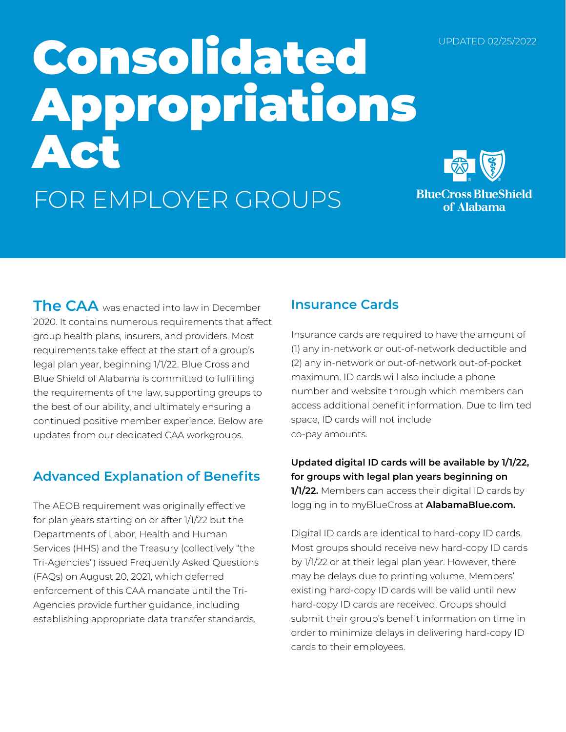#### UPDATED 02/25/2022

# Consolidated Appropriations Act FOR EMPLOYER GROUPS



**BlueCross BlueShield** of Alabama

**The CAA** was enacted into law in December 2020. It contains numerous requirements that affect group health plans, insurers, and providers. Most requirements take effect at the start of a group's legal plan year, beginning 1/1/22. Blue Cross and Blue Shield of Alabama is committed to fulfilling the requirements of the law, supporting groups to the best of our ability, and ultimately ensuring a continued positive member experience. Below are updates from our dedicated CAA workgroups.

# **Advanced Explanation of Benefits**

The AEOB requirement was originally effective for plan years starting on or after 1/1/22 but the Departments of Labor, Health and Human Services (HHS) and the Treasury (collectively "the Tri-Agencies") issued Frequently Asked Questions (FAQs) on August 20, 2021, which deferred enforcement of this CAA mandate until the Tri-Agencies provide further guidance, including establishing appropriate data transfer standards.

# **Insurance Cards**

Insurance cards are required to have the amount of (1) any in-network or out-of-network deductible and (2) any in-network or out-of-network out-of-pocket maximum. ID cards will also include a phone number and website through which members can access additional benefit information. Due to limited space, ID cards will not include co-pay amounts.

**Updated digital ID cards will be available by 1/1/22, for groups with legal plan years beginning on 1/1/22.** Members can access their digital ID cards by logging in to myBlueCross at **AlabamaBlue.com.** 

Digital ID cards are identical to hard-copy ID cards. Most groups should receive new hard-copy ID cards by 1/1/22 or at their legal plan year. However, there may be delays due to printing volume. Members' existing hard-copy ID cards will be valid until new hard-copy ID cards are received. Groups should submit their group's benefit information on time in order to minimize delays in delivering hard-copy ID cards to their employees.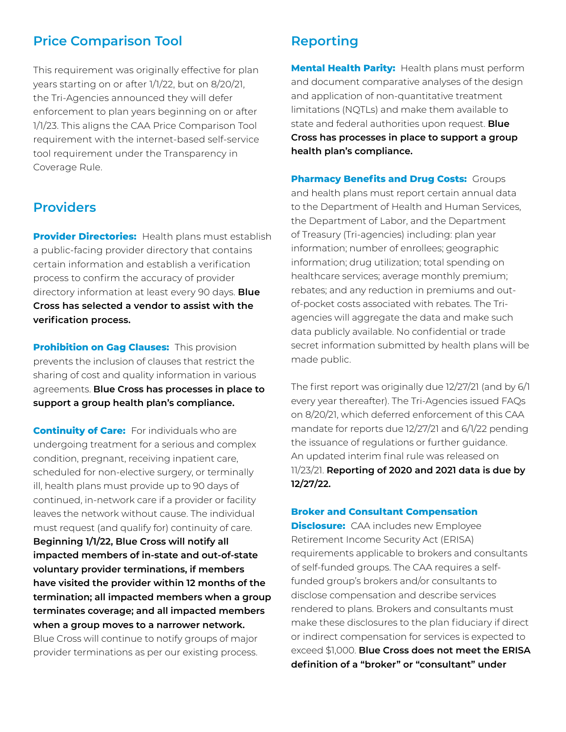### **Price Comparison Tool**

This requirement was originally effective for plan years starting on or after 1/1/22, but on 8/20/21, the Tri-Agencies announced they will defer enforcement to plan years beginning on or after 1/1/23. This aligns the CAA Price Comparison Tool requirement with the internet-based self-service tool requirement under the Transparency in Coverage Rule.

#### **Providers**

**Provider Directories:** Health plans must establish a public-facing provider directory that contains certain information and establish a verification process to confirm the accuracy of provider directory information at least every 90 days. **Blue Cross has selected a vendor to assist with the verification process.** 

**Prohibition on Gag Clauses: This provision** prevents the inclusion of clauses that restrict the sharing of cost and quality information in various agreements. **Blue Cross has processes in place to support a group health plan's compliance.**

**Continuity of Care:** For individuals who are undergoing treatment for a serious and complex condition, pregnant, receiving inpatient care, scheduled for non-elective surgery, or terminally ill, health plans must provide up to 90 days of continued, in-network care if a provider or facility leaves the network without cause. The individual must request (and qualify for) continuity of care. **Beginning 1/1/22, Blue Cross will notify all impacted members of in-state and out-of-state voluntary provider terminations, if members have visited the provider within 12 months of the termination; all impacted members when a group terminates coverage; and all impacted members when a group moves to a narrower network.** Blue Cross will continue to notify groups of major provider terminations as per our existing process.

## **Reporting**

**Mental Health Parity:** Health plans must perform and document comparative analyses of the design and application of non-quantitative treatment limitations (NQTLs) and make them available to state and federal authorities upon request. **Blue Cross has processes in place to support a group health plan's compliance.**

**Pharmacy Benefits and Drug Costs: Groups** and health plans must report certain annual data to the Department of Health and Human Services, the Department of Labor, and the Department of Treasury (Tri-agencies) including: plan year information; number of enrollees; geographic information; drug utilization; total spending on healthcare services; average monthly premium; rebates; and any reduction in premiums and outof-pocket costs associated with rebates. The Triagencies will aggregate the data and make such data publicly available. No confidential or trade secret information submitted by health plans will be made public.

The first report was originally due 12/27/21 (and by 6/1 every year thereafter). The Tri-Agencies issued FAQs on 8/20/21, which deferred enforcement of this CAA mandate for reports due 12/27/21 and 6/1/22 pending the issuance of regulations or further guidance. An updated interim final rule was released on 11/23/21. **Reporting of 2020 and 2021 data is due by 12/27/22.**

#### **Broker and Consultant Compensation**

**Disclosure:** CAA includes new Employee Retirement Income Security Act (ERISA) requirements applicable to brokers and consultants of self-funded groups. The CAA requires a selffunded group's brokers and/or consultants to disclose compensation and describe services rendered to plans. Brokers and consultants must make these disclosures to the plan fiduciary if direct or indirect compensation for services is expected to exceed \$1,000. **Blue Cross does not meet the ERISA definition of a "broker" or "consultant" under**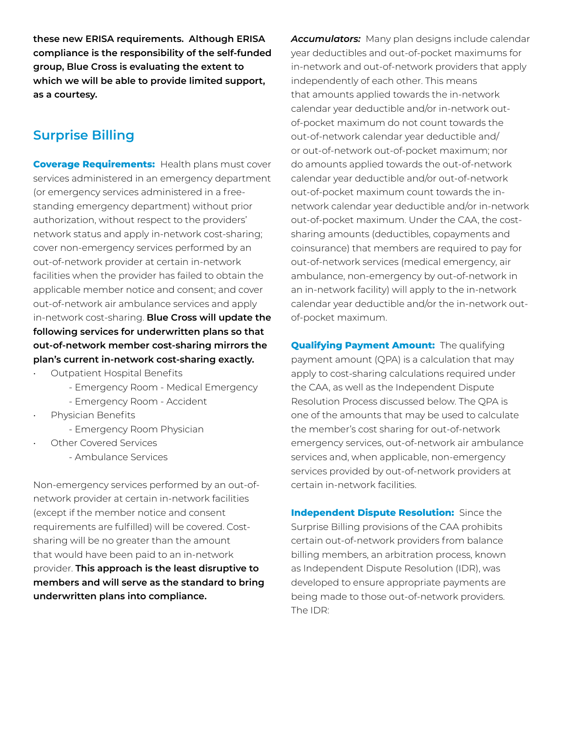**these new ERISA requirements. Although ERISA compliance is the responsibility of the self-funded group, Blue Cross is evaluating the extent to which we will be able to provide limited support, as a courtesy.**

# **Surprise Billing**

**Coverage Requirements:** Health plans must cover services administered in an emergency department (or emergency services administered in a freestanding emergency department) without prior authorization, without respect to the providers' network status and apply in-network cost-sharing; cover non-emergency services performed by an out-of-network provider at certain in-network facilities when the provider has failed to obtain the applicable member notice and consent; and cover out-of-network air ambulance services and apply in-network cost-sharing. **Blue Cross will update the following services for underwritten plans so that out-of-network member cost-sharing mirrors the plan's current in-network cost-sharing exactly.**

- Outpatient Hospital Benefits
	- Emergency Room Medical Emergency
	- Emergency Room Accident
- Physician Benefits
	- Emergency Room Physician
- **Other Covered Services** 
	- Ambulance Services

Non-emergency services performed by an out-ofnetwork provider at certain in-network facilities (except if the member notice and consent requirements are fulfilled) will be covered. Costsharing will be no greater than the amount that would have been paid to an in-network provider. **This approach is the least disruptive to members and will serve as the standard to bring underwritten plans into compliance.**

*Accumulators:* Many plan designs include calendar year deductibles and out-of-pocket maximums for in-network and out-of-network providers that apply independently of each other. This means that amounts applied towards the in-network calendar year deductible and/or in-network outof-pocket maximum do not count towards the out-of-network calendar year deductible and/ or out-of-network out-of-pocket maximum; nor do amounts applied towards the out-of-network calendar year deductible and/or out-of-network out-of-pocket maximum count towards the innetwork calendar year deductible and/or in-network out-of-pocket maximum. Under the CAA, the costsharing amounts (deductibles, copayments and coinsurance) that members are required to pay for out-of-network services (medical emergency, air ambulance, non-emergency by out-of-network in an in-network facility) will apply to the in-network calendar year deductible and/or the in-network outof-pocket maximum.

**Qualifying Payment Amount:** The qualifying payment amount (QPA) is a calculation that may apply to cost-sharing calculations required under the CAA, as well as the Independent Dispute Resolution Process discussed below. The QPA is one of the amounts that may be used to calculate the member's cost sharing for out-of-network emergency services, out-of-network air ambulance services and, when applicable, non-emergency services provided by out-of-network providers at certain in-network facilities.

**Independent Dispute Resolution:** Since the Surprise Billing provisions of the CAA prohibits certain out-of-network providers from balance billing members, an arbitration process, known as Independent Dispute Resolution (IDR), was developed to ensure appropriate payments are being made to those out-of-network providers. The IDR: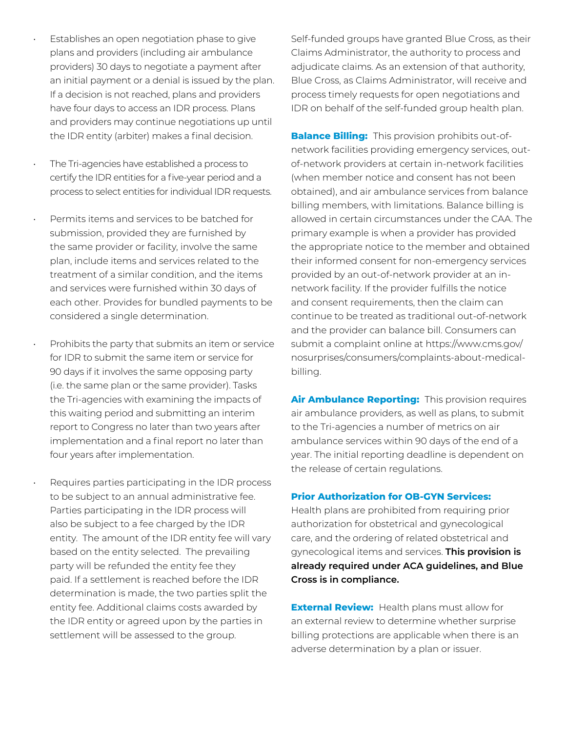- Establishes an open negotiation phase to give plans and providers (including air ambulance providers) 30 days to negotiate a payment after an initial payment or a denial is issued by the plan. If a decision is not reached, plans and providers have four days to access an IDR process. Plans and providers may continue negotiations up until the IDR entity (arbiter) makes a final decision.
- The Tri-agencies have established a process to certify the IDR entities for a five-year period and a process to select entities for individual IDR requests.
- Permits items and services to be batched for submission, provided they are furnished by the same provider or facility, involve the same plan, include items and services related to the treatment of a similar condition, and the items and services were furnished within 30 days of each other. Provides for bundled payments to be considered a single determination.

Prohibits the party that submits an item or service for IDR to submit the same item or service for 90 days if it involves the same opposing party (i.e. the same plan or the same provider). Tasks the Tri-agencies with examining the impacts of this waiting period and submitting an interim report to Congress no later than two years after implementation and a final report no later than four years after implementation.

Requires parties participating in the IDR process to be subject to an annual administrative fee. Parties participating in the IDR process will also be subject to a fee charged by the IDR entity. The amount of the IDR entity fee will vary based on the entity selected. The prevailing party will be refunded the entity fee they paid. If a settlement is reached before the IDR determination is made, the two parties split the entity fee. Additional claims costs awarded by the IDR entity or agreed upon by the parties in settlement will be assessed to the group.

Self-funded groups have granted Blue Cross, as their Claims Administrator, the authority to process and adjudicate claims. As an extension of that authority, Blue Cross, as Claims Administrator, will receive and process timely requests for open negotiations and IDR on behalf of the self-funded group health plan.

**Balance Billing:** This provision prohibits out-ofnetwork facilities providing emergency services, outof-network providers at certain in-network facilities (when member notice and consent has not been obtained), and air ambulance services from balance billing members, with limitations. Balance billing is allowed in certain circumstances under the CAA. The primary example is when a provider has provided the appropriate notice to the member and obtained their informed consent for non-emergency services provided by an out-of-network provider at an innetwork facility. If the provider fulfills the notice and consent requirements, then the claim can continue to be treated as traditional out-of-network and the provider can balance bill. Consumers can submit a complaint online at https://www.cms.gov/ nosurprises/consumers/complaints-about-medicalbilling.

**Air Ambulance Reporting:** This provision requires air ambulance providers, as well as plans, to submit to the Tri-agencies a number of metrics on air ambulance services within 90 days of the end of a year. The initial reporting deadline is dependent on the release of certain regulations.

#### **Prior Authorization for OB-GYN Services:**

Health plans are prohibited from requiring prior authorization for obstetrical and gynecological care, and the ordering of related obstetrical and gynecological items and services. **This provision is already required under ACA guidelines, and Blue Cross is in compliance.**

**External Review:** Health plans must allow for an external review to determine whether surprise billing protections are applicable when there is an adverse determination by a plan or issuer.